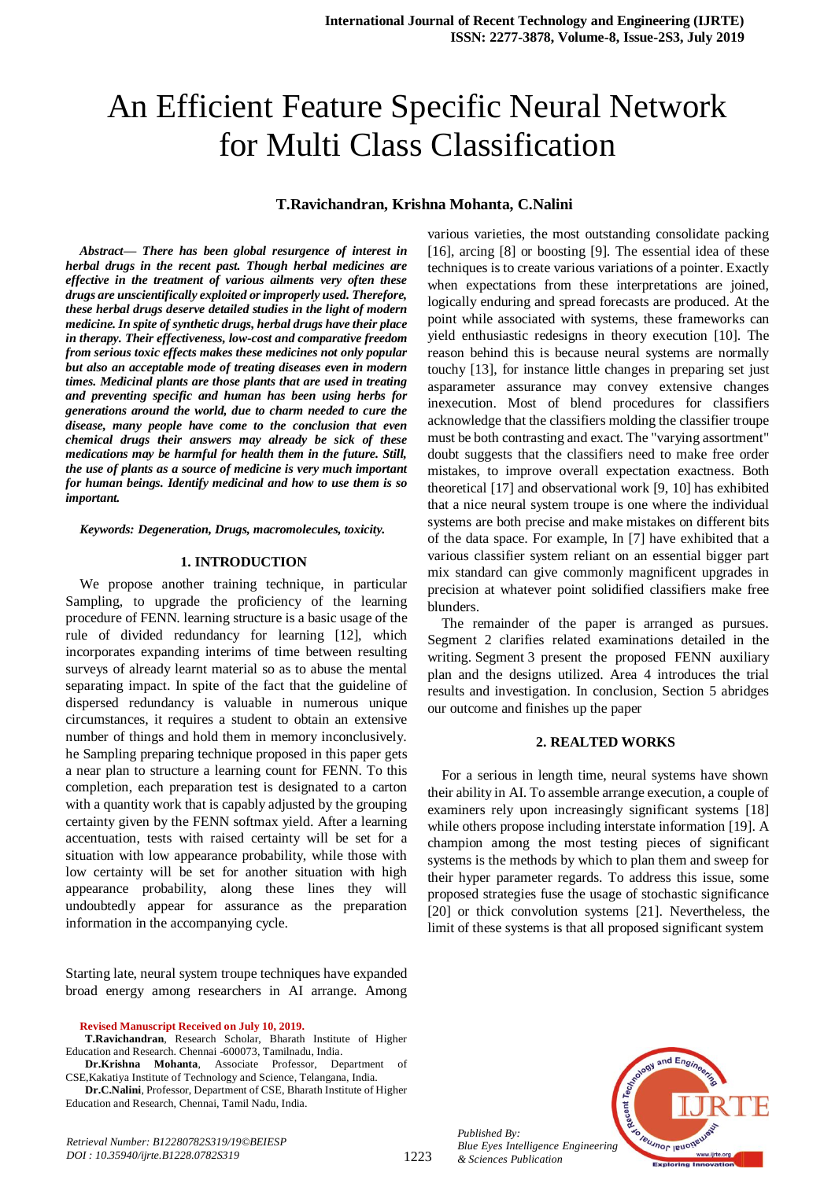# An Efficient Feature Specific Neural Network for Multi Class Classification

#### **T.Ravichandran, Krishna Mohanta, C.Nalini**

*Abstract***—** *There has been global resurgence of interest in herbal drugs in the recent past. Though herbal medicines are effective in the treatment of various ailments very often these drugs are unscientifically exploited or improperly used. Therefore, these herbal drugs deserve detailed studies in the light of modern medicine. In spite of synthetic drugs, herbal drugs have their place in therapy. Their effectiveness, low-cost and comparative freedom from serious toxic effects makes these medicines not only popular but also an acceptable mode of treating diseases even in modern times. Medicinal plants are those plants that are used in treating and preventing specific and human has been using herbs for generations around the world, due to charm needed to cure the disease, many people have come to the conclusion that even chemical drugs their answers may already be sick of these medications may be harmful for health them in the future. Still, the use of plants as a source of medicine is very much important for human beings. Identify medicinal and how to use them is so important.*

*Keywords: Degeneration, Drugs, macromolecules, toxicity.*

#### **1. INTRODUCTION**

We propose another training technique, in particular Sampling, to upgrade the proficiency of the learning procedure of FENN. learning structure is a basic usage of the rule of divided redundancy for learning [12], which incorporates expanding interims of time between resulting surveys of already learnt material so as to abuse the mental separating impact. In spite of the fact that the guideline of dispersed redundancy is valuable in numerous unique circumstances, it requires a student to obtain an extensive number of things and hold them in memory inconclusively. he Sampling preparing technique proposed in this paper gets a near plan to structure a learning count for FENN. To this completion, each preparation test is designated to a carton with a quantity work that is capably adjusted by the grouping certainty given by the FENN softmax yield. After a learning accentuation, tests with raised certainty will be set for a situation with low appearance probability, while those with low certainty will be set for another situation with high appearance probability, along these lines they will undoubtedly appear for assurance as the preparation information in the accompanying cycle.

Starting late, neural system troupe techniques have expanded broad energy among researchers in AI arrange. Among

**Revised Manuscript Received on July 10, 2019.**

**Dr.Krishna Mohanta**, Associate Professor, Department of CSE,Kakatiya Institute of Technology and Science, Telangana, India.

**Dr.C.Nalini**, Professor, Department of CSE, Bharath Institute of Higher Education and Research, Chennai, Tamil Nadu, India.

various varieties, the most outstanding consolidate packing [16], arcing [8] or boosting [9]. The essential idea of these techniques is to create various variations of a pointer. Exactly when expectations from these interpretations are joined, logically enduring and spread forecasts are produced. At the point while associated with systems, these frameworks can yield enthusiastic redesigns in theory execution [10]. The reason behind this is because neural systems are normally touchy [13], for instance little changes in preparing set just asparameter assurance may convey extensive changes inexecution. Most of blend procedures for classifiers acknowledge that the classifiers molding the classifier troupe must be both contrasting and exact. The "varying assortment" doubt suggests that the classifiers need to make free order mistakes, to improve overall expectation exactness. Both theoretical [17] and observational work [9, 10] has exhibited that a nice neural system troupe is one where the individual systems are both precise and make mistakes on different bits of the data space. For example, In [7] have exhibited that a various classifier system reliant on an essential bigger part mix standard can give commonly magnificent upgrades in precision at whatever point solidified classifiers make free blunders.

The remainder of the paper is arranged as pursues. Segment 2 clarifies related examinations detailed in the writing. Segment 3 present the proposed FENN auxiliary plan and the designs utilized. Area 4 introduces the trial results and investigation. In conclusion, Section 5 abridges our outcome and finishes up the paper

#### **2. REALTED WORKS**

For a serious in length time, neural systems have shown their ability in AI. To assemble arrange execution, a couple of examiners rely upon increasingly significant systems [18] while others propose including interstate information [19]. A champion among the most testing pieces of significant systems is the methods by which to plan them and sweep for their hyper parameter regards. To address this issue, some proposed strategies fuse the usage of stochastic significance [20] or thick convolution systems [21]. Nevertheless, the limit of these systems is that all proposed significant system



*Published By: Blue Eyes Intelligence Engineering & Sciences Publication* 

**T.Ravichandran**, Research Scholar, Bharath Institute of Higher Education and Research. Chennai -600073, Tamilnadu, India.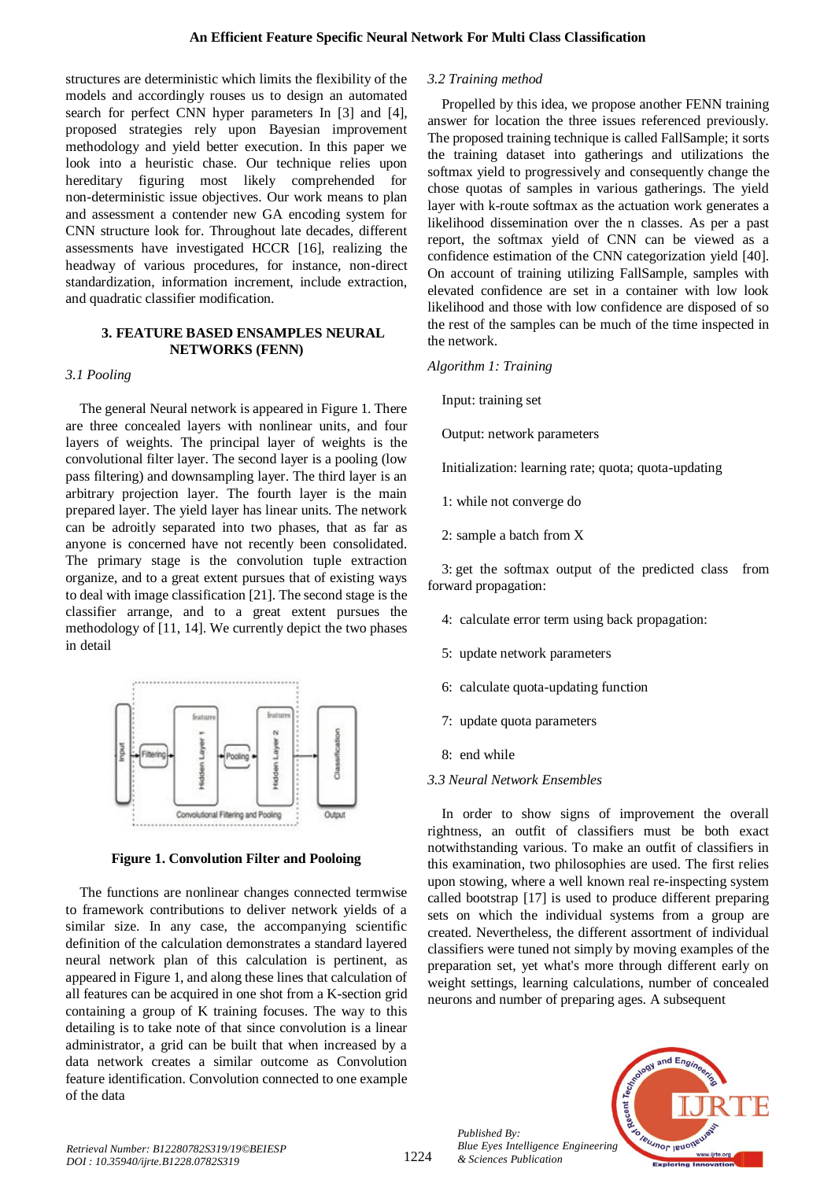structures are deterministic which limits the flexibility of the models and accordingly rouses us to design an automated search for perfect CNN hyper parameters In [3] and [4], proposed strategies rely upon Bayesian improvement methodology and yield better execution. In this paper we look into a heuristic chase. Our technique relies upon hereditary figuring most likely comprehended for non-deterministic issue objectives. Our work means to plan and assessment a contender new GA encoding system for CNN structure look for. Throughout late decades, different assessments have investigated HCCR [16], realizing the headway of various procedures, for instance, non-direct standardization, information increment, include extraction, and quadratic classifier modification.

## **3. FEATURE BASED ENSAMPLES NEURAL NETWORKS (FENN)**

# *3.1 Pooling*

The general Neural network is appeared in Figure 1. There are three concealed layers with nonlinear units, and four layers of weights. The principal layer of weights is the convolutional filter layer. The second layer is a pooling (low pass filtering) and downsampling layer. The third layer is an arbitrary projection layer. The fourth layer is the main prepared layer. The yield layer has linear units. The network can be adroitly separated into two phases, that as far as anyone is concerned have not recently been consolidated. The primary stage is the convolution tuple extraction organize, and to a great extent pursues that of existing ways to deal with image classification [21]. The second stage is the classifier arrange, and to a great extent pursues the methodology of [11, 14]. We currently depict the two phases in detail



**Figure 1. Convolution Filter and Pooloing**

The functions are nonlinear changes connected termwise to framework contributions to deliver network yields of a similar size. In any case, the accompanying scientific definition of the calculation demonstrates a standard layered neural network plan of this calculation is pertinent, as appeared in Figure 1, and along these lines that calculation of all features can be acquired in one shot from a K-section grid containing a group of K training focuses. The way to this detailing is to take note of that since convolution is a linear administrator, a grid can be built that when increased by a data network creates a similar outcome as Convolution feature identification. Convolution connected to one example of the data

## *3.2 Training method*

Propelled by this idea, we propose another FENN training answer for location the three issues referenced previously. The proposed training technique is called FallSample; it sorts the training dataset into gatherings and utilizations the softmax yield to progressively and consequently change the chose quotas of samples in various gatherings. The yield layer with k-route softmax as the actuation work generates a likelihood dissemination over the n classes. As per a past report, the softmax yield of CNN can be viewed as a confidence estimation of the CNN categorization yield [40]. On account of training utilizing FallSample, samples with elevated confidence are set in a container with low look likelihood and those with low confidence are disposed of so the rest of the samples can be much of the time inspected in the network.

## *Algorithm 1: Training*

Input: training set

Output: network parameters

Initialization: learning rate; quota; quota-updating

- 1: while not converge do
- 2: sample a batch from X

3: get the softmax output of the predicted class from forward propagation:

- 4: calculate error term using back propagation:
- 5: update network parameters
- 6: calculate quota-updating function
- 7: update quota parameters
- 8: end while

# *3.3 Neural Network Ensembles*

In order to show signs of improvement the overall rightness, an outfit of classifiers must be both exact notwithstanding various. To make an outfit of classifiers in this examination, two philosophies are used. The first relies upon stowing, where a well known real re-inspecting system called bootstrap [17] is used to produce different preparing sets on which the individual systems from a group are created. Nevertheless, the different assortment of individual classifiers were tuned not simply by moving examples of the preparation set, yet what's more through different early on weight settings, learning calculations, number of concealed neurons and number of preparing ages. A subsequent



*Published By:*

*& Sciences Publication*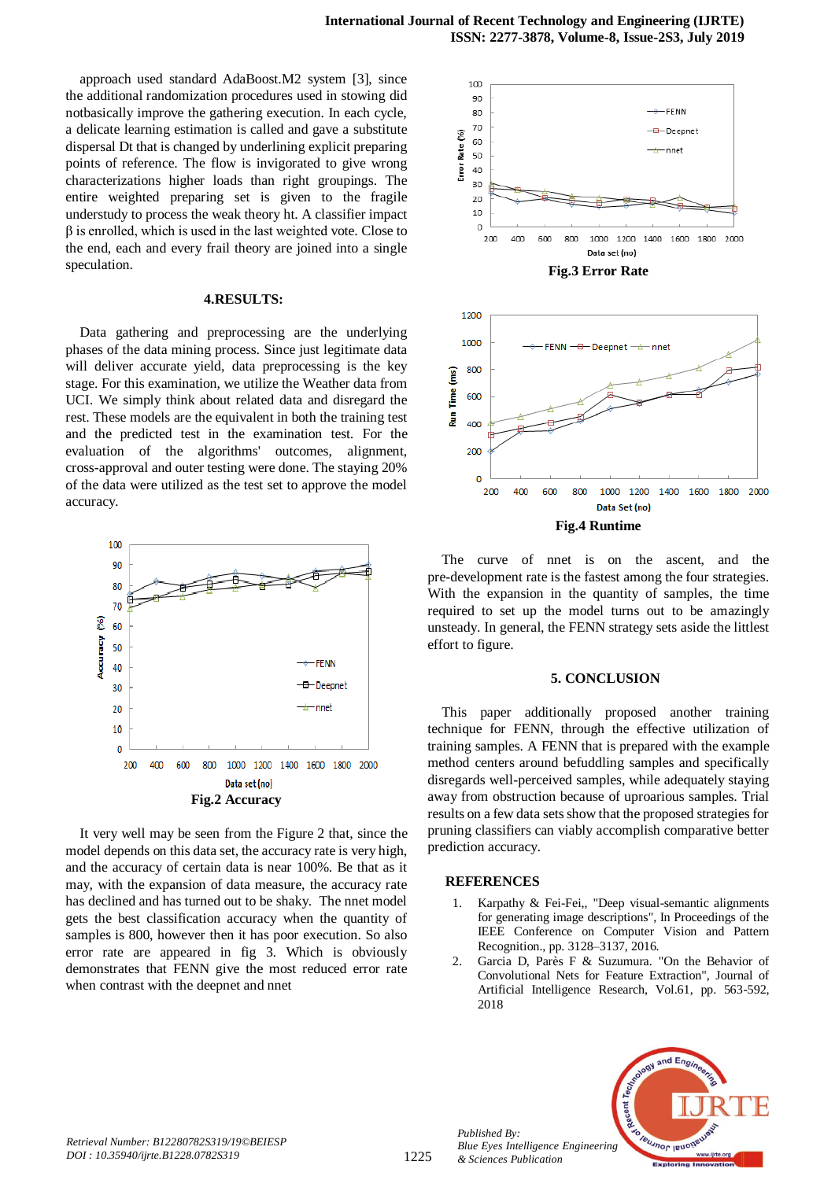approach used standard AdaBoost.M2 system [3], since the additional randomization procedures used in stowing did notbasically improve the gathering execution. In each cycle, a delicate learning estimation is called and gave a substitute dispersal Dt that is changed by underlining explicit preparing points of reference. The flow is invigorated to give wrong characterizations higher loads than right groupings. The entire weighted preparing set is given to the fragile understudy to process the weak theory ht. A classifier impact  $\beta$  is enrolled, which is used in the last weighted vote. Close to the end, each and every frail theory are joined into a single speculation.

## **4.RESULTS:**

Data gathering and preprocessing are the underlying phases of the data mining process. Since just legitimate data will deliver accurate yield, data preprocessing is the key stage. For this examination, we utilize the Weather data from UCI. We simply think about related data and disregard the rest. These models are the equivalent in both the training test and the predicted test in the examination test. For the evaluation of the algorithms' outcomes, alignment, cross-approval and outer testing were done. The staying 20% of the data were utilized as the test set to approve the model accuracy.



It very well may be seen from the Figure 2 that, since the model depends on this data set, the accuracy rate is very high, and the accuracy of certain data is near 100%. Be that as it may, with the expansion of data measure, the accuracy rate has declined and has turned out to be shaky. The nnet model gets the best classification accuracy when the quantity of samples is 800, however then it has poor execution. So also error rate are appeared in fig 3. Which is obviously demonstrates that FENN give the most reduced error rate when contrast with the deepnet and nnet



The curve of nnet is on the ascent, and the pre-development rate is the fastest among the four strategies. With the expansion in the quantity of samples, the time required to set up the model turns out to be amazingly unsteady. In general, the FENN strategy sets aside the littlest effort to figure.

#### **5. CONCLUSION**

This paper additionally proposed another training technique for FENN, through the effective utilization of training samples. A FENN that is prepared with the example method centers around befuddling samples and specifically disregards well-perceived samples, while adequately staying away from obstruction because of uproarious samples. Trial results on a few data sets show that the proposed strategies for pruning classifiers can viably accomplish comparative better prediction accuracy.

### **REFERENCES**

*Published By:*

*& Sciences Publication* 

- 1. Karpathy & Fei-Fei,, "Deep visual-semantic alignments for generating image descriptions", In Proceedings of the IEEE Conference on Computer Vision and Pattern Recognition., pp. 3128–3137, 2016.
- 2. Garcia D, Parès F & Suzumura. "On the Behavior of Convolutional Nets for Feature Extraction", Journal of Artificial Intelligence Research, Vol.61, pp. 563-592, 2018